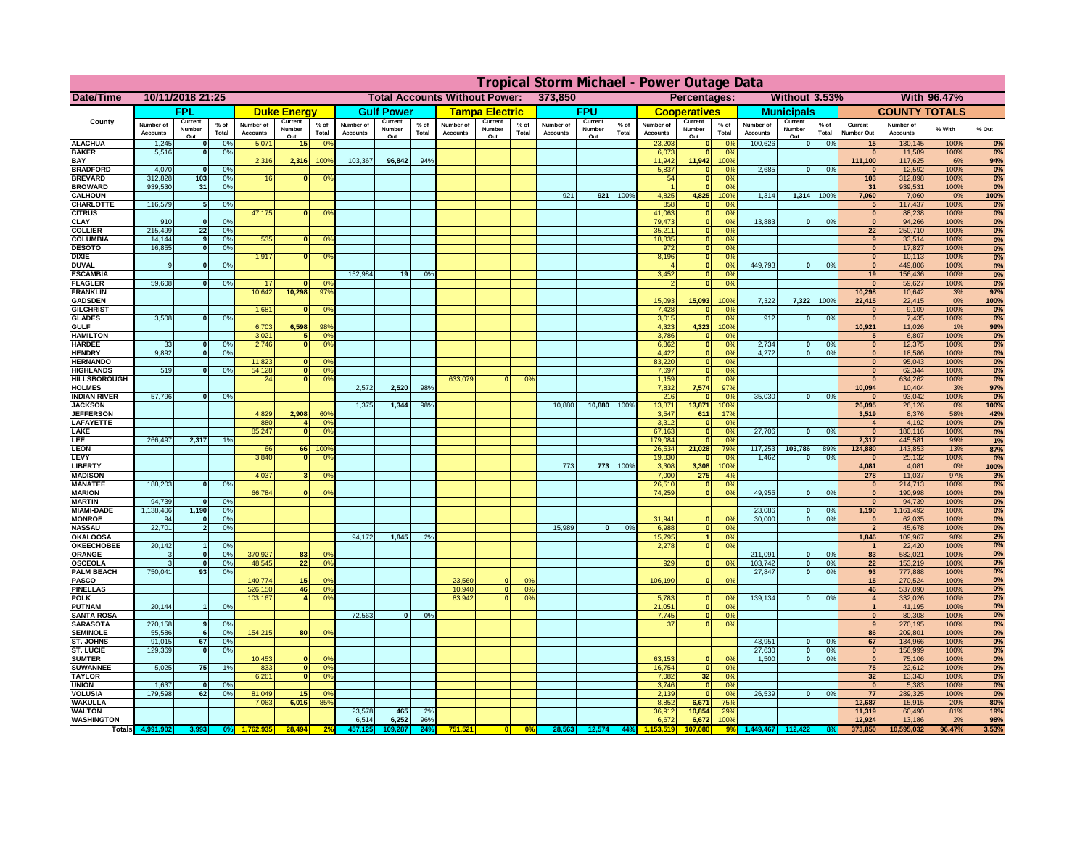|                                      | Tropical Storm Michael - Power Outage Data |                          |                 |                              |                          |                                                 |                              |                          |                 |                              |                                              |                      |                              |                          |                 |                              |                                |                         |                              |                          |                 |                                |                              |              |             |
|--------------------------------------|--------------------------------------------|--------------------------|-----------------|------------------------------|--------------------------|-------------------------------------------------|------------------------------|--------------------------|-----------------|------------------------------|----------------------------------------------|----------------------|------------------------------|--------------------------|-----------------|------------------------------|--------------------------------|-------------------------|------------------------------|--------------------------|-----------------|--------------------------------|------------------------------|--------------|-------------|
| Date/Time                            | 10/11/2018 21:25                           |                          |                 |                              |                          | <b>Total Accounts Without Power:</b><br>373,850 |                              |                          |                 |                              | Without 3.53%<br>Percentages:<br>With 96.47% |                      |                              |                          |                 |                              |                                |                         |                              |                          |                 |                                |                              |              |             |
|                                      |                                            | <b>FPL</b>               |                 |                              | <b>Duke Energy</b>       |                                                 |                              | <b>Gulf Power</b>        |                 |                              | <b>Tampa Electric</b>                        |                      |                              | <b>FPU</b>               |                 |                              | <b>Cooperatives</b>            |                         |                              | <b>Municipals</b>        |                 |                                | <b>COUNTY TOTALS</b>         |              |             |
| County                               | Number of<br><b>Accounts</b>               | Current<br>Number<br>Out | $%$ of<br>Total | Number of<br><b>Accounts</b> | Current<br>Number<br>Out | $%$ of<br>Total                                 | Number of<br><b>Accounts</b> | Current<br>Number<br>Out | $%$ of<br>Total | Number of<br><b>Accounts</b> | Current<br>Number<br>Out                     | % of<br>Total        | Number of<br><b>Accounts</b> | Current<br>Number<br>Out | $%$ of<br>Total | Number of<br><b>Accounts</b> | Current<br>Number<br>Out       | $%$ of<br>Total         | Number of<br><b>Accounts</b> | Current<br>Number<br>Out | $%$ of<br>Total | Current<br>Number Out          | Number of<br><b>Accounts</b> | % With       | % Out       |
| <b>ALACHUA</b>                       | 1,245                                      | $\mathbf 0$              | 0%              | 5,071                        | 15                       | 0 <sup>o</sup>                                  |                              |                          |                 |                              |                                              |                      |                              |                          |                 | 23,203                       |                                | 0%                      | 100,626                      | 0                        | 0%              | 15                             | 130,145                      | 100%         | 0%          |
| <b>BAKER</b><br><b>BAY</b>           | 5,516                                      | $\mathbf 0$              | 0%              | 2,316                        | 2,316                    | 100%                                            | 103,367                      | 96,842                   | 94%             |                              |                                              |                      |                              |                          |                 | 6,073<br>11,942              | 11,942                         | 0%<br>100°              |                              |                          |                 | $\mathbf{0}$<br>111,100        | 11,589<br>117,625            | 100%<br>6%   | 0%<br>94%   |
| <b>BRADFORD</b>                      | 4,070                                      | $\mathbf{0}$             | 0%              |                              |                          |                                                 |                              |                          |                 |                              |                                              |                      |                              |                          |                 | 5,837                        |                                | $\Omega$ <sup>c</sup>   | 2,685                        | 0                        | 0%              |                                | 12,592                       | 100%         | 0%          |
| <b>BREVARD</b>                       | 312,828                                    | 103                      | 0%              | 16                           |                          | 0 <sup>9</sup>                                  |                              |                          |                 |                              |                                              |                      |                              |                          |                 | 54                           | $\mathbf{0}$                   | 0 <sup>9</sup>          |                              |                          |                 | $\overline{103}$               | 312,898                      | 100%         | 0%          |
| <b>BROWARD</b>                       | 939,530                                    | 31                       | 0%              |                              |                          |                                                 |                              |                          |                 |                              |                                              |                      |                              |                          |                 |                              |                                | 0 <sup>9</sup>          |                              |                          |                 | 31                             | 939,531                      | 100%         | 0%          |
| <b>CALHOUN</b><br>CHARLOTTE          | 116,579                                    | -5                       | 0%              |                              |                          |                                                 |                              |                          |                 |                              |                                              |                      | 921                          | 921                      | 100%            | 4,825<br>858                 | 4,825<br>$\mathbf{0}$          | 100%<br>0 <sup>9</sup>  | 1,314                        | 1,314 100%               |                 | 7,060<br>5                     | 7,060<br>117,437             | 0%<br>100%   | 100%<br>0%  |
| <b>CITRUS</b>                        |                                            |                          |                 | 47,175                       | $\Omega$                 | 0 <sup>9</sup>                                  |                              |                          |                 |                              |                                              |                      |                              |                          |                 | 41,063                       | $\mathbf{0}$                   | 0 <sup>9</sup>          |                              |                          |                 | $\mathbf{0}$                   | 88,238                       | 100%         | 0%          |
| <b>CLAY</b>                          | 910                                        | $\Omega$                 | 0%              |                              |                          |                                                 |                              |                          |                 |                              |                                              |                      |                              |                          |                 | 79,473                       | $\mathbf{0}$                   | 0%                      | 13,883                       | 0                        | 0%              | $\overline{0}$                 | 94,266                       | 100%         | 0%          |
| <b>COLLIER</b>                       | 215,499<br>14,144                          | 22                       | 0%              | 535                          |                          |                                                 |                              |                          |                 |                              |                                              |                      |                              |                          |                 | 35,211<br>18,835             | $\mathbf{0}$<br>$\mathbf{0}$   | 0%<br>0%                |                              |                          |                 | 22<br>$\overline{9}$           | 250,710<br>33,514            | 100%<br>100% | 0%<br>0%    |
| <b>COLUMBIA</b><br><b>DESOTO</b>     | 16,855                                     | 9<br> 0                  | 0%<br>0%        |                              |                          | 0 <sup>9</sup>                                  |                              |                          |                 |                              |                                              |                      |                              |                          |                 | 972                          | $\mathbf{0}$                   | 0%                      |                              |                          |                 | $\overline{0}$                 | 17,827                       | 100%         | 0%          |
| <b>DIXIE</b>                         |                                            |                          |                 | 1,917                        | $\Omega$                 | 0 <sup>9</sup>                                  |                              |                          |                 |                              |                                              |                      |                              |                          |                 | 8,196                        | $\overline{\phantom{a}}$       | 0%                      |                              |                          |                 | $\overline{0}$                 | 10,113                       | 100%         | 0%          |
| <b>DUVAL</b>                         | 9                                          | $\Omega$                 | 0%              |                              |                          |                                                 |                              |                          |                 |                              |                                              |                      |                              |                          |                 |                              | $\overline{\mathbf{0}}$        | 0%                      | 449.793                      | $\overline{0}$           | 0%              | $\overline{0}$                 | 449,806                      | 100%         | 0%          |
| <b>ESCAMBIA</b><br><b>FLAGLER</b>    | 59.608                                     | $\Omega$                 |                 | 17                           | $\Omega$                 | nº                                              | 152.984                      | 19                       | O <sup>o</sup>  |                              |                                              |                      |                              |                          |                 | 3,452                        | ō<br>$\overline{\mathbf{0}}$   | 0%<br>0%                |                              |                          |                 | 19<br>$\overline{0}$           | 156,436<br>59,627            | 100%<br>100% | 0%<br>0%    |
| <b>FRANKLIN</b>                      |                                            |                          | 0%              | 10.642                       | 10.298                   | 97%                                             |                              |                          |                 |                              |                                              |                      |                              |                          |                 |                              |                                |                         |                              |                          |                 | 10,298                         | 10,642                       | 3%           | 97%         |
| <b>GADSDEN</b>                       |                                            |                          |                 |                              |                          |                                                 |                              |                          |                 |                              |                                              |                      |                              |                          |                 | 15,093                       | 15,093                         | 100%                    | 7.322                        | 7,322 100%               |                 | 22,415                         | 22,415                       | 0%           | 100%        |
| <b>GILCHRIST</b>                     |                                            |                          |                 | 1,681                        |                          | 0 <sup>9</sup>                                  |                              |                          |                 |                              |                                              |                      |                              |                          |                 | 7,428                        |                                | 0 <sup>9</sup>          |                              |                          |                 | $\bf{0}$                       | 9,109                        | 100%         | 0%          |
| <b>GLADES</b><br><b>GULF</b>         | 3,508                                      | $\mathbf{0}$             | 0%              |                              | 6,598                    | 98%                                             |                              |                          |                 |                              |                                              |                      |                              |                          |                 | 3,015<br>4,323               | $\sqrt{ }$<br>4,323            | 0 <sup>9</sup>          | 912                          | $\bf{0}$                 | 0%              | $\mathbf{0}$<br>10,921         | 7,435                        | 100%<br>1%   | 0%<br>99%   |
| <b>HAMILTON</b>                      |                                            |                          |                 | 6,703<br>3,021               |                          | 5 <sup>1</sup><br>0 <sup>9</sup>                |                              |                          |                 |                              |                                              |                      |                              |                          |                 | 3,786                        | $\mathbf{0}$                   | 100%<br>0%              |                              |                          |                 | 5                              | 11,026<br>6,807              | 100%         | 0%          |
| <b>HARDEE</b>                        | 33                                         | $\bf{0}$                 | 0%              | 2,746                        |                          | $\overline{0}$<br>0 <sup>9</sup>                |                              |                          |                 |                              |                                              |                      |                              |                          |                 | 6,862                        | $\mathbf{0}$                   | 0 <sup>9</sup>          | 2,734                        | $\mathbf{0}$             | 0%              | $\mathbf{0}$                   | 12,375                       | 100%         | 0%          |
| <b>HENDRY</b>                        | 9.892                                      | 0                        | 0%              |                              |                          |                                                 |                              |                          |                 |                              |                                              |                      |                              |                          |                 | 4,422                        | $\overline{\phantom{a}}$       | 0%                      | 4,272                        | $\overline{0}$           | 0%              | $\overline{0}$                 | 18,586                       | 100%         | 0%          |
| <b>HERNANDO</b><br><b>HIGHLANDS</b>  | 519                                        | $\Omega$                 | 0%              | 11,823<br>54,128             | $\bf{0}$<br> 0           | 0 <sup>9</sup><br>0 <sup>9</sup>                |                              |                          |                 |                              |                                              |                      |                              |                          |                 | 83,220<br>7,697              | $\mathbf{0}$<br>$\overline{0}$ | 0%<br>0%                |                              |                          |                 | $\mathbf{0}$<br>$\overline{0}$ | 95,043<br>62,344             | 100%<br>100% | 0%<br>0%    |
| <b>HILLSBOROUGH</b>                  |                                            |                          |                 | 24                           | 0                        | 0%                                              |                              |                          |                 | 633,079                      | nl                                           | 0 <sup>2</sup>       |                              |                          |                 | 1,159                        | $\mathbf{0}$                   | 0%                      |                              |                          |                 | $\mathbf{0}$                   | 634,262                      | 100%         | 0%          |
| <b>HOLMES</b>                        |                                            |                          |                 |                              |                          |                                                 | 2,572                        | 2,520                    | 98%             |                              |                                              |                      |                              |                          |                 | 7,832                        | 7,574                          | 97%                     |                              |                          |                 | 10,094                         | 10,404                       | 3%           | 97%         |
| <b>INDIAN RIVER</b>                  | 57,796                                     | $\Omega$                 | 0%              |                              |                          |                                                 |                              |                          |                 |                              |                                              |                      |                              |                          |                 | 216                          |                                | $^{\circ}$              | 35,030                       | $\Omega$                 | 0%              | $\bf{0}$                       | 93,042                       | 100%         | 0%          |
| <b>JACKSON</b><br><b>JEFFERSON</b>   |                                            |                          |                 | 4,829                        | 2,908                    | 60%                                             | 1,375                        | 1,344                    | 98%             |                              |                                              |                      | 10,880                       | 10,880                   | 100%            | 13,871<br>3,547              | 13,871<br>611                  | 100%<br>17%             |                              |                          |                 | 26,095<br>3,519                | 26,126<br>8,376              | 0%<br>58%    | 100%<br>42% |
| LAFAYETTE                            |                                            |                          |                 | 880                          | $\overline{4}$           | 0 <sup>o</sup>                                  |                              |                          |                 |                              |                                              |                      |                              |                          |                 | 3,312                        |                                | 0 <sup>9</sup>          |                              |                          |                 | $\overline{\mathbf{4}}$        | 4,192                        | 100%         | 0%          |
| LAKE                                 |                                            |                          |                 | 85,247                       | $\mathbf{0}$             | 0 <sup>9</sup>                                  |                              |                          |                 |                              |                                              |                      |                              |                          |                 | 67,163                       | $\mathbf{0}$                   | 0 <sup>9</sup>          | 27,706                       | $\Omega$                 | 0%              | $\mathbf{0}$                   | 180,116                      | 100%         | 0%          |
| <b>LEE</b>                           | 266,497                                    | 2,317                    | 1%              |                              |                          |                                                 |                              |                          |                 |                              |                                              |                      |                              |                          |                 | 179,084                      | $\mathbf{0}$                   | 0 <sup>9</sup>          |                              |                          |                 | 2,317                          | 445,581                      | 99%          | 1%          |
| <b>LEON</b><br><b>LEVY</b>           |                                            |                          |                 | 66<br>3,840                  | 66<br>$\mathbf{0}$       | 1009<br>0 <sup>9</sup>                          |                              |                          |                 |                              |                                              |                      |                              |                          |                 | 26,534<br>19,830             | 21,028<br>- 0                  | 79%<br>no               | 117,253<br>1,462             | 103,786<br>$\Omega$      | 89%<br>0%       | 124,880<br>$\mathbf{0}$        | 143,853<br>25,132            | 13%<br>100%  | 87%<br>0%   |
| <b>LIBERTY</b>                       |                                            |                          |                 |                              |                          |                                                 |                              |                          |                 |                              |                                              |                      | 773                          | 773                      | 100%            | 3,308                        | 3,308                          | 100%                    |                              |                          |                 | 4,081                          | 4,081                        | 0%           | 100%        |
| <b>MADISON</b>                       |                                            |                          |                 | 4,037                        |                          | 0 <sup>9</sup>                                  |                              |                          |                 |                              |                                              |                      |                              |                          |                 | 7,000                        | 275                            | 4%                      |                              |                          |                 | 278                            | 11,037                       | 97%          | 3%          |
| <b>MANATEE</b>                       | 188,203                                    | $\Omega$                 | 0%              |                              |                          |                                                 |                              |                          |                 |                              |                                              |                      |                              |                          |                 | 26,510                       | $\mathbf{0}$                   | 0%                      |                              |                          |                 | $\mathbf{0}$                   | 214,713                      | 100%         | 0%          |
| <b>MARION</b><br><b>MARTIN</b>       | 94,739                                     | $\Omega$                 | 0 <sup>9</sup>  | 66,784                       |                          | 0 <sup>9</sup>                                  |                              |                          |                 |                              |                                              |                      |                              |                          |                 | 74,259                       | 0                              | 0%                      | 49,955                       | 0                        | 0%              | 0 <br> 0                       | 190,998<br>94,739            | 100%<br>100% | 0%<br>0%    |
| <b>MIAMI-DADE</b>                    | 1,138,406                                  | 1,190                    | 0%              |                              |                          |                                                 |                              |                          |                 |                              |                                              |                      |                              |                          |                 |                              |                                |                         | 23,086                       | 0                        | 0%              | 1,190                          | ,161,492                     | 100%         | 0%          |
| <b>MONROE</b>                        | 94                                         | $\mathbf{o}$             | 0%              |                              |                          |                                                 |                              |                          |                 |                              |                                              |                      |                              |                          |                 | 31,941                       | $\mathbf{0}$                   | nº                      | 30,000                       | $\overline{\mathbf{0}}$  | 0%              | $\mathbf{0}$                   | 62,035                       | 100%         | 0%          |
| <b>NASSAU</b>                        | 22,701                                     | $\overline{2}$           | 0%              |                              |                          |                                                 |                              |                          |                 |                              |                                              |                      | 15,989                       | 0                        | 0%              | 6,988                        | $\mathbf{0}$                   | 0 <sup>9</sup>          |                              |                          |                 | $\overline{2}$                 | 45,678                       | 100%         | 0%          |
| <b>OKALOOSA</b><br><b>OKEECHOBEE</b> | 20,142                                     |                          | 0%              |                              |                          |                                                 | 94,172                       | 1,845                    | 2%              |                              |                                              |                      |                              |                          |                 | 15,795<br>2,278              | $\overline{1}$<br> 0           | 0%<br>0%                |                              |                          |                 | 1,846<br>$\overline{1}$        | 109,967<br>22,420            | 98%<br>100%  | 2%<br>0%    |
| <b>ORANGE</b>                        | 3                                          | 0                        | 0%              | 370,927                      | 83                       | 0 <sup>o</sup>                                  |                              |                          |                 |                              |                                              |                      |                              |                          |                 |                              |                                |                         | 211,091                      | 0                        | 0%              | 83                             | 582,021                      | 100%         | 0%          |
| <b>OSCEOLA</b>                       | 3                                          | 0                        | 0%              | 48,545                       | 22                       | 0 <sup>9</sup>                                  |                              |                          |                 |                              |                                              |                      |                              |                          |                 | 929                          | $\Omega$                       | 0 <sup>9</sup>          | 103,742                      | 0                        | 0%              | 22                             | 153,219                      | 100%         | 0%          |
| <b>PALM BEACH</b>                    | 750,041                                    | 93                       | 0%              |                              |                          |                                                 |                              |                          |                 |                              |                                              |                      |                              |                          |                 |                              |                                |                         | 27,847                       | $\Omega$                 | 0%              | 93                             | 777,888                      | 100%         | 0%          |
| PASCO<br><b>PINELLAS</b>             |                                            |                          |                 | 140,774<br>526,150           | 15<br>46                 | 0 <sup>9</sup><br>0 <sup>9</sup>                |                              |                          |                 | 23,560<br>10,940             | $\mathbf{0}$<br> 0                           | 0 <sup>9</sup><br>0% |                              |                          |                 | 106,190                      | 0                              | 0 <sup>9</sup>          |                              |                          |                 | 15<br>46                       | 270,524<br>537,090           | 100%<br>100% | 0%<br>0%    |
| <b>POLK</b>                          |                                            |                          |                 | 103,167                      | $\overline{4}$           | 0 <sup>9</sup>                                  |                              |                          |                 | 83,942                       | $\overline{0}$                               | 0%                   |                              |                          |                 | 5,783                        | $\mathbf{0}$                   | 0 <sup>9</sup>          | 139,134                      | 0                        | 0%              | $\overline{\mathbf{4}}$        | 332,026                      | 100%         | 0%          |
| <b>PUTNAM</b>                        | 20,144                                     |                          | 0%              |                              |                          |                                                 |                              |                          |                 |                              |                                              |                      |                              |                          |                 | 21,051                       | $\mathbf{0}$                   | 0 <sup>9</sup>          |                              |                          |                 | $\mathbf{1}$                   | 41,195                       | 100%         | 0%          |
| <b>SANTA ROSA</b>                    |                                            |                          |                 |                              |                          |                                                 | 72,563                       | 0                        | 0%              |                              |                                              |                      |                              |                          |                 | 7,745                        | 0                              | 0%                      |                              |                          |                 | $\mathbf{0}$                   | 80,308                       | 100%         | 0%          |
| <b>SARASOTA</b><br><b>SEMINOLE</b>   | 270,158<br>55,586                          | 9 <sup>1</sup><br>- 6 I  | 0%<br>0%        | 154,215                      | 80 <sup>1</sup>          | 0 <sup>9</sup>                                  |                              |                          |                 |                              |                                              |                      |                              |                          |                 | 37                           | $\overline{0}$                 | 0%                      |                              |                          |                 | 9<br>86                        | 270,195<br>209.801           | 100%<br>100% | 0%<br>0%    |
| ST. JOHNS                            | 91,015                                     | 67                       | 0%              |                              |                          |                                                 |                              |                          |                 |                              |                                              |                      |                              |                          |                 |                              |                                |                         | 43.951                       | $\overline{0}$           | 0%              | 67                             | 134,966                      | 100%         | 0%          |
| <b>ST. LUCIE</b>                     | 129.369                                    | $\mathbf{0}$             | 0%              |                              |                          |                                                 |                              |                          |                 |                              |                                              |                      |                              |                          |                 |                              |                                |                         | 27.630                       | $\overline{0}$           | 0%              | $\mathbf{0}$                   | 156.999                      | 100%         | 0%          |
| <b>SUMTER</b>                        |                                            |                          |                 | 10,453                       | $\mathbf{0}$             | 0 <sup>9</sup>                                  |                              |                          |                 |                              |                                              |                      |                              |                          |                 | 63,153                       | $\mathbf{0}$                   | $\Omega$ <sup>c</sup>   | 1,500                        | 0                        | 0%              | $\mathbf{0}$                   | 75,106                       | 100%         | 0%          |
| <b>SUWANNEE</b><br><b>TAYLOR</b>     | 5,025                                      | 75                       | 1%              | 833<br>6,261                 | 0 <br> 0                 | 0 <sup>9</sup><br>0 <sup>9</sup>                |                              |                          |                 |                              |                                              |                      |                              |                          |                 | 16,754<br>7,082              | $\mathbf{0}$<br>32             | 0 <sup>9</sup><br>0%    |                              |                          |                 | 75<br>32                       | 22,612<br>13,343             | 100%<br>100% | 0%<br>0%    |
| <b>UNION</b>                         | 1,637                                      | $\mathbf{0}$             | 0%              |                              |                          |                                                 |                              |                          |                 |                              |                                              |                      |                              |                          |                 | 3,746                        | $\mathbf{0}$                   | 0 <sup>9</sup>          |                              |                          |                 | $\mathbf{0}$                   | 5,383                        | 100%         | 0%          |
| <b>VOLUSIA</b>                       | 179,598                                    | 62                       | 0%              | 81,049                       | 15                       | 0 <sup>9</sup>                                  |                              |                          |                 |                              |                                              |                      |                              |                          |                 | 2,139                        |                                | 0 <sup>9</sup>          | 26,539                       | 0                        | 0%              | 77                             | 289,325                      | 100%         | 0%          |
| <b>WAKULLA</b>                       |                                            |                          |                 | 7,063                        | 6,016                    | 85%                                             | 23,578                       |                          |                 |                              |                                              |                      |                              |                          |                 | 8,852                        | 6,671                          | 75%                     |                              |                          |                 | 12,687                         | 15,915                       | 20%          | 80%         |
| <b>WALTON</b><br><b>WASHINGTON</b>   |                                            |                          |                 |                              |                          |                                                 | 6,514                        | 465<br>6,252             | 2%<br>96%       |                              |                                              |                      |                              |                          |                 | 36,912<br>6,672              | 10,854<br>6,672                | 29 <sup>o</sup><br>100% |                              |                          |                 | 11,319<br>12,924               | 60,490<br>13,186             | 81%<br>2%    | 19%<br>98%  |
| <b>Totals</b>                        |                                            | 3,993                    | o               |                              | 28,494                   |                                                 |                              |                          | $24^\circ$      | 751,521                      |                                              | 0%                   | 28,563                       | 12,574                   | 44%             |                              |                                |                         |                              |                          |                 | 373,850                        | 10,595,032                   | 96.47%       | 3.53%       |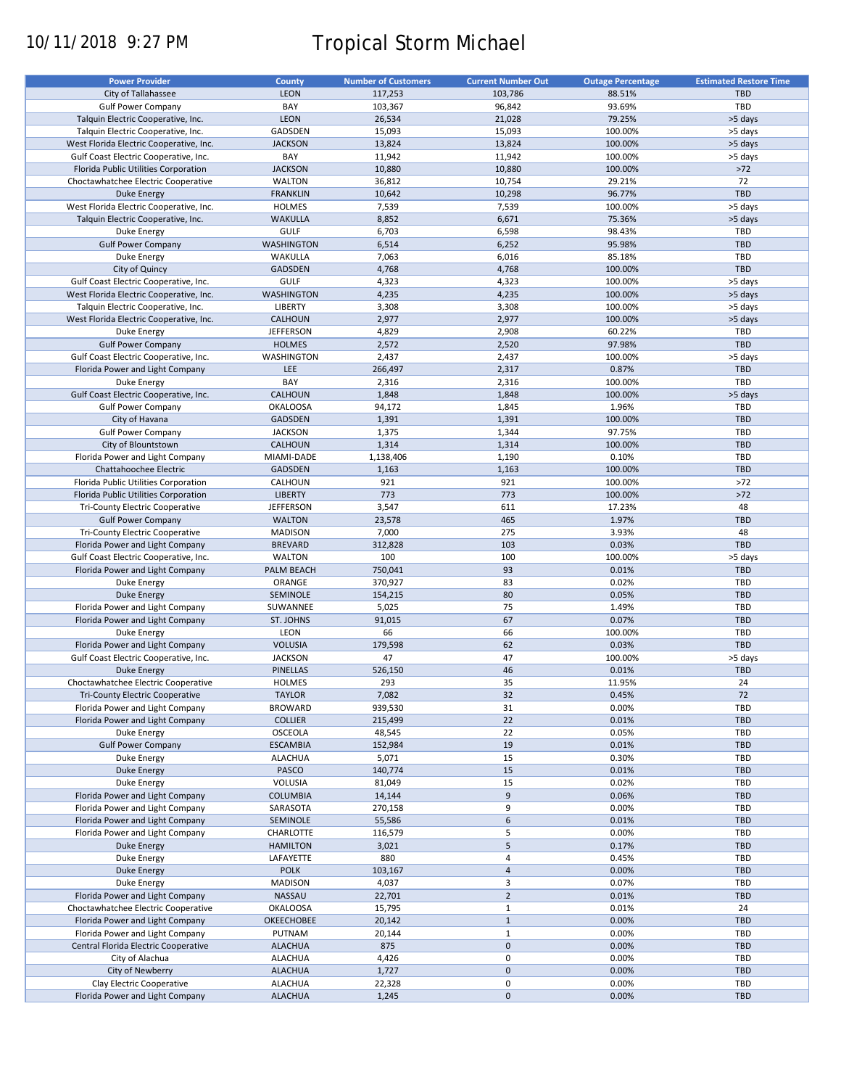# 10/11/2018 9:27 PM Tropical Storm Michael

| <b>Power Provider</b>                   | <b>County</b>     | <b>Number of Customers</b> | <b>Current Number Out</b> | <b>Outage Percentage</b> | <b>Estimated Restore Time</b> |
|-----------------------------------------|-------------------|----------------------------|---------------------------|--------------------------|-------------------------------|
|                                         |                   |                            |                           |                          |                               |
| City of Tallahassee                     | <b>LEON</b>       | 117,253                    | 103,786                   | 88.51%                   | <b>TBD</b>                    |
| <b>Gulf Power Company</b>               | BAY               | 103,367                    | 96,842                    | 93.69%                   | TBD                           |
| Talquin Electric Cooperative, Inc.      | <b>LEON</b>       | 26,534                     | 21,028                    | 79.25%                   | >5 days                       |
| Talquin Electric Cooperative, Inc.      | GADSDEN           | 15,093                     | 15,093                    | 100.00%                  | >5 days                       |
| West Florida Electric Cooperative, Inc. | <b>JACKSON</b>    | 13,824                     | 13,824                    | 100.00%                  | >5 days                       |
| Gulf Coast Electric Cooperative, Inc.   | BAY               | 11,942                     | 11,942                    | 100.00%                  | >5 days                       |
|                                         |                   |                            |                           |                          |                               |
| Florida Public Utilities Corporation    | <b>JACKSON</b>    | 10,880                     | 10,880                    | 100.00%                  | $>72$                         |
| Choctawhatchee Electric Cooperative     | <b>WALTON</b>     | 36,812                     | 10,754                    | 29.21%                   | 72                            |
| Duke Energy                             | <b>FRANKLIN</b>   | 10,642                     | 10,298                    | 96.77%                   | <b>TBD</b>                    |
| West Florida Electric Cooperative, Inc. | <b>HOLMES</b>     | 7,539                      | 7,539                     | 100.00%                  | >5 days                       |
| Talquin Electric Cooperative, Inc.      | <b>WAKULLA</b>    | 8,852                      | 6,671                     | 75.36%                   | >5 days                       |
| Duke Energy                             | <b>GULF</b>       | 6,703                      | 6,598                     | 98.43%                   | TBD                           |
|                                         |                   |                            |                           |                          |                               |
| <b>Gulf Power Company</b>               | <b>WASHINGTON</b> | 6,514                      | 6,252                     | 95.98%                   | <b>TBD</b>                    |
| Duke Energy                             | WAKULLA           | 7,063                      | 6,016                     | 85.18%                   | TBD                           |
| City of Quincy                          | <b>GADSDEN</b>    | 4,768                      | 4,768                     | 100.00%                  | <b>TBD</b>                    |
| Gulf Coast Electric Cooperative, Inc.   | <b>GULF</b>       | 4,323                      | 4,323                     | 100.00%                  | >5 days                       |
| West Florida Electric Cooperative, Inc. | <b>WASHINGTON</b> | 4,235                      | 4,235                     | 100.00%                  | >5 days                       |
|                                         | <b>LIBERTY</b>    |                            |                           |                          |                               |
| Talquin Electric Cooperative, Inc.      |                   | 3,308                      | 3,308                     | 100.00%                  | >5 days                       |
| West Florida Electric Cooperative, Inc. | CALHOUN           | 2,977                      | 2,977                     | 100.00%                  | >5 days                       |
| Duke Energy                             | <b>JEFFERSON</b>  | 4,829                      | 2,908                     | 60.22%                   | TBD                           |
| <b>Gulf Power Company</b>               | <b>HOLMES</b>     | 2,572                      | 2,520                     | 97.98%                   | <b>TBD</b>                    |
| Gulf Coast Electric Cooperative, Inc.   | WASHINGTON        | 2,437                      | 2,437                     | 100.00%                  | >5 days                       |
| Florida Power and Light Company         | LEE               | 266,497                    | 2,317                     | 0.87%                    | <b>TBD</b>                    |
|                                         |                   |                            |                           |                          |                               |
| Duke Energy                             | BAY               | 2,316                      | 2,316                     | 100.00%                  | TBD                           |
| Gulf Coast Electric Cooperative, Inc.   | CALHOUN           | 1,848                      | 1,848                     | 100.00%                  | >5 days                       |
| <b>Gulf Power Company</b>               | <b>OKALOOSA</b>   | 94,172                     | 1,845                     | 1.96%                    | TBD                           |
| City of Havana                          | <b>GADSDEN</b>    | 1,391                      | 1,391                     | 100.00%                  | <b>TBD</b>                    |
| <b>Gulf Power Company</b>               | <b>JACKSON</b>    | 1,375                      | 1,344                     | 97.75%                   | TBD                           |
|                                         |                   |                            |                           |                          |                               |
| City of Blountstown                     | <b>CALHOUN</b>    | 1,314                      | 1,314                     | 100.00%                  | <b>TBD</b>                    |
| Florida Power and Light Company         | MIAMI-DADE        | 1,138,406                  | 1,190                     | 0.10%                    | TBD                           |
| Chattahoochee Electric                  | <b>GADSDEN</b>    | 1,163                      | 1,163                     | 100.00%                  | <b>TBD</b>                    |
| Florida Public Utilities Corporation    | CALHOUN           | 921                        | 921                       | 100.00%                  | $>72$                         |
| Florida Public Utilities Corporation    | <b>LIBERTY</b>    | 773                        | 773                       | 100.00%                  | $>72$                         |
|                                         | <b>JEFFERSON</b>  | 3,547                      | 611                       |                          | 48                            |
| Tri-County Electric Cooperative         |                   |                            |                           | 17.23%                   |                               |
| <b>Gulf Power Company</b>               | <b>WALTON</b>     | 23,578                     | 465                       | 1.97%                    | <b>TBD</b>                    |
| Tri-County Electric Cooperative         | <b>MADISON</b>    | 7,000                      | 275                       | 3.93%                    | 48                            |
| Florida Power and Light Company         | <b>BREVARD</b>    | 312,828                    | 103                       | 0.03%                    | <b>TBD</b>                    |
| Gulf Coast Electric Cooperative, Inc.   | <b>WALTON</b>     | 100                        | 100                       | 100.00%                  | >5 days                       |
| Florida Power and Light Company         | PALM BEACH        | 750,041                    | 93                        | 0.01%                    | <b>TBD</b>                    |
|                                         |                   |                            |                           |                          |                               |
| Duke Energy                             | ORANGE            | 370,927                    | 83                        | 0.02%                    | TBD                           |
| <b>Duke Energy</b>                      | SEMINOLE          | 154,215                    | 80                        | 0.05%                    | <b>TBD</b>                    |
| Florida Power and Light Company         | SUWANNEE          | 5,025                      | 75                        | 1.49%                    | TBD                           |
| Florida Power and Light Company         | ST. JOHNS         | 91,015                     | 67                        | 0.07%                    | <b>TBD</b>                    |
| Duke Energy                             | LEON              | 66                         | 66                        | 100.00%                  | TBD                           |
| Florida Power and Light Company         | <b>VOLUSIA</b>    | 179,598                    | 62                        | 0.03%                    | TBD                           |
|                                         |                   |                            |                           |                          |                               |
| Gulf Coast Electric Cooperative, Inc.   | <b>JACKSON</b>    | 47                         | 47                        | 100.00%                  | >5 days                       |
| Duke Energy                             | <b>PINELLAS</b>   | 526,150                    | 46                        | 0.01%                    | <b>TBD</b>                    |
| Choctawhatchee Electric Cooperative     | <b>HOLMES</b>     | 293                        | 35                        | 11.95%                   | 24                            |
| Tri-County Electric Cooperative         | <b>TAYLOR</b>     | 7,082                      | 32                        | 0.45%                    | 72                            |
| Florida Power and Light Company         | <b>BROWARD</b>    | 939,530                    | 31                        | 0.00%                    | TBD                           |
|                                         |                   | 215,499                    | 22                        |                          | <b>TBD</b>                    |
| Florida Power and Light Company         | <b>COLLIER</b>    |                            |                           | 0.01%                    |                               |
| Duke Energy                             | <b>OSCEOLA</b>    | 48,545                     | 22                        | 0.05%                    | TBD                           |
| <b>Gulf Power Company</b>               | <b>ESCAMBIA</b>   | 152,984                    | 19                        | 0.01%                    | <b>TBD</b>                    |
| Duke Energy                             | <b>ALACHUA</b>    | 5,071                      | 15                        | 0.30%                    | TBD                           |
| Duke Energy                             | PASCO             | 140,774                    | 15                        | 0.01%                    | <b>TBD</b>                    |
| Duke Energy                             | VOLUSIA           | 81,049                     | 15                        | 0.02%                    | TBD                           |
|                                         |                   |                            |                           |                          |                               |
| Florida Power and Light Company         | <b>COLUMBIA</b>   | 14,144                     | 9                         | 0.06%                    | <b>TBD</b>                    |
| Florida Power and Light Company         | SARASOTA          | 270,158                    | 9                         | 0.00%                    | TBD                           |
| Florida Power and Light Company         | SEMINOLE          | 55,586                     | 6                         | 0.01%                    | <b>TBD</b>                    |
| Florida Power and Light Company         | CHARLOTTE         | 116,579                    | 5                         | 0.00%                    | TBD                           |
| Duke Energy                             | <b>HAMILTON</b>   | 3,021                      | 5                         | 0.17%                    | TBD                           |
| Duke Energy                             | LAFAYETTE         | 880                        | 4                         | 0.45%                    | TBD                           |
|                                         |                   |                            |                           |                          |                               |
| <b>Duke Energy</b>                      | <b>POLK</b>       | 103,167                    | $\overline{4}$            | 0.00%                    | <b>TBD</b>                    |
| Duke Energy                             | <b>MADISON</b>    | 4,037                      | 3                         | 0.07%                    | TBD                           |
| Florida Power and Light Company         | NASSAU            | 22,701                     | $\overline{2}$            | 0.01%                    | <b>TBD</b>                    |
| Choctawhatchee Electric Cooperative     | <b>OKALOOSA</b>   | 15,795                     | $1\,$                     | 0.01%                    | 24                            |
| Florida Power and Light Company         | <b>OKEECHOBEE</b> | 20,142                     | $\mathbf{1}$              | 0.00%                    | <b>TBD</b>                    |
| Florida Power and Light Company         | PUTNAM            | 20,144                     | $1\,$                     | 0.00%                    | TBD                           |
|                                         |                   |                            |                           |                          |                               |
| Central Florida Electric Cooperative    | <b>ALACHUA</b>    | 875                        | $\mathbf 0$               | 0.00%                    | <b>TBD</b>                    |
| City of Alachua                         | <b>ALACHUA</b>    | 4,426                      | $\pmb{0}$                 | 0.00%                    | TBD                           |
| City of Newberry                        | <b>ALACHUA</b>    | 1,727                      | $\mathbf 0$               | 0.00%                    | <b>TBD</b>                    |
| Clay Electric Cooperative               | <b>ALACHUA</b>    | 22,328                     | 0                         | 0.00%                    | TBD                           |
| Florida Power and Light Company         | <b>ALACHUA</b>    | 1,245                      | $\mathbf 0$               | 0.00%                    | TBD                           |
|                                         |                   |                            |                           |                          |                               |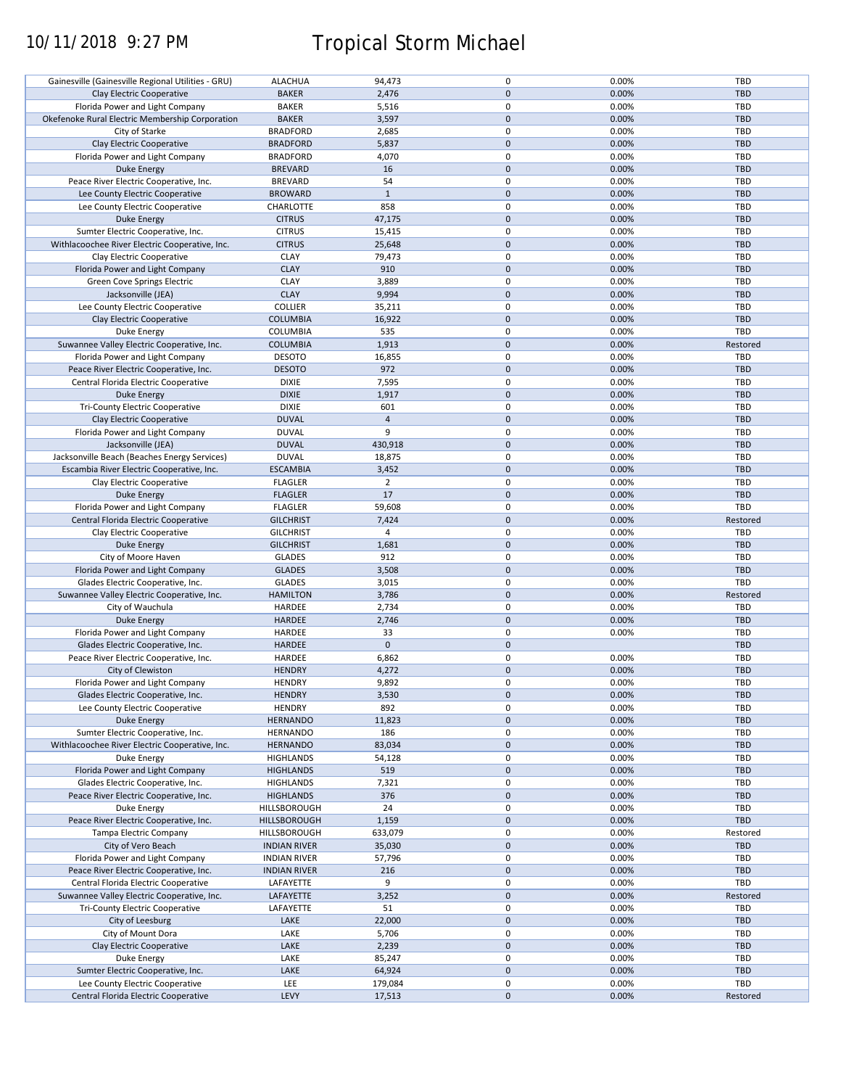# 10/11/2018 9:27 PM Tropical Storm Michael

| Gainesville (Gainesville Regional Utilities - GRU) | <b>ALACHUA</b>      | 94,473         | 0            | 0.00% | <b>TBD</b> |
|----------------------------------------------------|---------------------|----------------|--------------|-------|------------|
| Clay Electric Cooperative                          | <b>BAKER</b>        | 2,476          | $\mathbf 0$  | 0.00% | <b>TBD</b> |
| Florida Power and Light Company                    | <b>BAKER</b>        | 5,516          | 0            | 0.00% | TBD        |
| Okefenoke Rural Electric Membership Corporation    | <b>BAKER</b>        | 3,597          | $\pmb{0}$    | 0.00% | <b>TBD</b> |
| City of Starke                                     | <b>BRADFORD</b>     | 2,685          | 0            | 0.00% | TBD        |
| Clay Electric Cooperative                          | <b>BRADFORD</b>     | 5,837          | $\mathbf 0$  | 0.00% | <b>TBD</b> |
|                                                    |                     |                | 0            |       | TBD        |
| Florida Power and Light Company                    | <b>BRADFORD</b>     | 4,070          |              | 0.00% |            |
| <b>Duke Energy</b>                                 | <b>BREVARD</b>      | 16             | $\mathbf 0$  | 0.00% | <b>TBD</b> |
| Peace River Electric Cooperative, Inc.             | <b>BREVARD</b>      | 54             | 0            | 0.00% | TBD        |
| Lee County Electric Cooperative                    | <b>BROWARD</b>      | $\mathbf{1}$   | $\pmb{0}$    | 0.00% | <b>TBD</b> |
| Lee County Electric Cooperative                    | CHARLOTTE           | 858            | 0            | 0.00% | <b>TBD</b> |
| Duke Energy                                        | <b>CITRUS</b>       | 47,175         | $\mathbf{0}$ | 0.00% | <b>TBD</b> |
| Sumter Electric Cooperative, Inc.                  | <b>CITRUS</b>       | 15,415         | 0            | 0.00% | <b>TBD</b> |
| Withlacoochee River Electric Cooperative, Inc.     | <b>CITRUS</b>       | 25,648         | $\pmb{0}$    | 0.00% | <b>TBD</b> |
|                                                    |                     |                |              |       |            |
| Clay Electric Cooperative                          | <b>CLAY</b>         | 79,473         | $\mathbf 0$  | 0.00% | <b>TBD</b> |
| Florida Power and Light Company                    | <b>CLAY</b>         | 910            | $\pmb{0}$    | 0.00% | <b>TBD</b> |
| Green Cove Springs Electric                        | <b>CLAY</b>         | 3,889          | 0            | 0.00% | <b>TBD</b> |
| Jacksonville (JEA)                                 | <b>CLAY</b>         | 9,994          | $\pmb{0}$    | 0.00% | <b>TBD</b> |
| Lee County Electric Cooperative                    | <b>COLLIER</b>      | 35,211         | 0            | 0.00% | TBD        |
| Clay Electric Cooperative                          | <b>COLUMBIA</b>     | 16,922         | $\mathbf 0$  | 0.00% | <b>TBD</b> |
|                                                    |                     |                |              |       |            |
| Duke Energy                                        | <b>COLUMBIA</b>     | 535            | 0            | 0.00% | TBD        |
| Suwannee Valley Electric Cooperative, Inc.         | <b>COLUMBIA</b>     | 1,913          | $\pmb{0}$    | 0.00% | Restored   |
| Florida Power and Light Company                    | <b>DESOTO</b>       | 16,855         | 0            | 0.00% | TBD        |
| Peace River Electric Cooperative, Inc.             | <b>DESOTO</b>       | 972            | $\mathbf 0$  | 0.00% | <b>TBD</b> |
| Central Florida Electric Cooperative               | <b>DIXIE</b>        | 7,595          | 0            | 0.00% | <b>TBD</b> |
| <b>Duke Energy</b>                                 | <b>DIXIE</b>        | 1,917          | $\pmb{0}$    | 0.00% | <b>TBD</b> |
|                                                    |                     |                |              |       |            |
| Tri-County Electric Cooperative                    | <b>DIXIE</b>        | 601            | 0            | 0.00% | TBD        |
| Clay Electric Cooperative                          | <b>DUVAL</b>        | $\overline{4}$ | $\pmb{0}$    | 0.00% | <b>TBD</b> |
| Florida Power and Light Company                    | <b>DUVAL</b>        | 9              | 0            | 0.00% | TBD        |
| Jacksonville (JEA)                                 | <b>DUVAL</b>        | 430,918        | $\mathbf 0$  | 0.00% | <b>TBD</b> |
| Jacksonville Beach (Beaches Energy Services)       | <b>DUVAL</b>        | 18,875         | 0            | 0.00% | <b>TBD</b> |
|                                                    |                     |                | $\mathbf 0$  | 0.00% |            |
| Escambia River Electric Cooperative, Inc.          | <b>ESCAMBIA</b>     | 3,452          |              |       | <b>TBD</b> |
| Clay Electric Cooperative                          | <b>FLAGLER</b>      | $\overline{2}$ | 0            | 0.00% | TBD        |
| Duke Energy                                        | <b>FLAGLER</b>      | 17             | $\pmb{0}$    | 0.00% | <b>TBD</b> |
| Florida Power and Light Company                    | <b>FLAGLER</b>      | 59,608         | 0            | 0.00% | TBD        |
| Central Florida Electric Cooperative               | <b>GILCHRIST</b>    | 7,424          | $\pmb{0}$    | 0.00% | Restored   |
| Clay Electric Cooperative                          | <b>GILCHRIST</b>    | 4              | $\mathbf 0$  | 0.00% | <b>TBD</b> |
|                                                    |                     |                | $\mathbf 0$  |       | <b>TBD</b> |
| Duke Energy                                        | <b>GILCHRIST</b>    | 1,681          |              | 0.00% |            |
| City of Moore Haven                                | <b>GLADES</b>       | 912            | 0            | 0.00% | TBD        |
| Florida Power and Light Company                    | <b>GLADES</b>       | 3,508          | $\pmb{0}$    | 0.00% | <b>TBD</b> |
| Glades Electric Cooperative, Inc.                  | <b>GLADES</b>       | 3,015          | $\mathbf 0$  | 0.00% | TBD        |
| Suwannee Valley Electric Cooperative, Inc.         | <b>HAMILTON</b>     | 3,786          | $\pmb{0}$    | 0.00% | Restored   |
| City of Wauchula                                   | HARDEE              | 2,734          | 0            | 0.00% | TBD        |
| Duke Energy                                        | HARDEE              | 2,746          | $\pmb{0}$    | 0.00% | <b>TBD</b> |
|                                                    |                     |                |              |       |            |
| Florida Power and Light Company                    | HARDEE              | 33             | 0            | 0.00% | <b>TBD</b> |
| Glades Electric Cooperative, Inc.                  | <b>HARDEE</b>       | $\mathbf 0$    | $\mathbf 0$  |       | <b>TBD</b> |
| Peace River Electric Cooperative, Inc.             | HARDEE              | 6,862          | 0            | 0.00% | TBD        |
| City of Clewiston                                  | <b>HENDRY</b>       | 4,272          | $\mathbf 0$  | 0.00% | <b>TBD</b> |
| Florida Power and Light Company                    | <b>HENDRY</b>       | 9,892          | $\mathbf 0$  | 0.00% | TBD        |
|                                                    | <b>HENDRY</b>       |                | $\pmb{0}$    | 0.00% | <b>TBD</b> |
| Glades Electric Cooperative, Inc.                  |                     | 3,530          |              |       |            |
| Lee County Electric Cooperative                    | <b>HENDRY</b>       | 892            | 0            | 0.00% | TBD        |
| Duke Energy                                        | <b>HERNANDO</b>     | 11,823         | $\mathbf 0$  | 0.00% | TBD        |
| Sumter Electric Cooperative, Inc.                  | <b>HERNANDO</b>     | 186            | 0            | 0.00% | TBD        |
| Withlacoochee River Electric Cooperative, Inc.     | <b>HERNANDO</b>     | 83,034         | $\mathbf 0$  | 0.00% | <b>TBD</b> |
| Duke Energy                                        | <b>HIGHLANDS</b>    | 54,128         | 0            | 0.00% | TBD        |
| Florida Power and Light Company                    | <b>HIGHLANDS</b>    | 519            | $\mathbf 0$  | 0.00% | <b>TBD</b> |
|                                                    |                     |                |              |       |            |
| Glades Electric Cooperative, Inc.                  | <b>HIGHLANDS</b>    | 7,321          | 0            | 0.00% | TBD        |
| Peace River Electric Cooperative, Inc.             | <b>HIGHLANDS</b>    | 376            | $\pmb{0}$    | 0.00% | <b>TBD</b> |
| Duke Energy                                        | HILLSBOROUGH        | 24             | 0            | 0.00% | TBD        |
| Peace River Electric Cooperative, Inc.             | HILLSBOROUGH        | 1,159          | $\pmb{0}$    | 0.00% | TBD        |
| Tampa Electric Company                             | <b>HILLSBOROUGH</b> | 633,079        | 0            | 0.00% | Restored   |
| City of Vero Beach                                 | <b>INDIAN RIVER</b> | 35,030         | $\pmb{0}$    | 0.00% | <b>TBD</b> |
|                                                    |                     |                | $\pmb{0}$    |       |            |
| Florida Power and Light Company                    | <b>INDIAN RIVER</b> | 57,796         |              | 0.00% | <b>TBD</b> |
| Peace River Electric Cooperative, Inc.             | <b>INDIAN RIVER</b> | 216            | $\pmb{0}$    | 0.00% | <b>TBD</b> |
| Central Florida Electric Cooperative               | LAFAYETTE           | 9              | 0            | 0.00% | <b>TBD</b> |
| Suwannee Valley Electric Cooperative, Inc.         | LAFAYETTE           | 3,252          | $\pmb{0}$    | 0.00% | Restored   |
| <b>Tri-County Electric Cooperative</b>             | LAFAYETTE           | 51             | 0            | 0.00% | <b>TBD</b> |
| City of Leesburg                                   | LAKE                | 22,000         | $\pmb{0}$    | 0.00% | TBD        |
| City of Mount Dora                                 | LAKE                | 5,706          | 0            | 0.00% | <b>TBD</b> |
|                                                    |                     |                |              |       |            |
| Clay Electric Cooperative                          | LAKE                | 2,239          | $\pmb{0}$    | 0.00% | <b>TBD</b> |
| Duke Energy                                        | LAKE                | 85,247         | 0            | 0.00% | TBD        |
| Sumter Electric Cooperative, Inc.                  | LAKE                | 64,924         | $\pmb{0}$    | 0.00% | TBD        |
| Lee County Electric Cooperative                    | LEE                 | 179,084        | 0            | 0.00% | TBD        |
| Central Florida Electric Cooperative               | LEVY                | 17,513         | $\pmb{0}$    | 0.00% | Restored   |
|                                                    |                     |                |              |       |            |